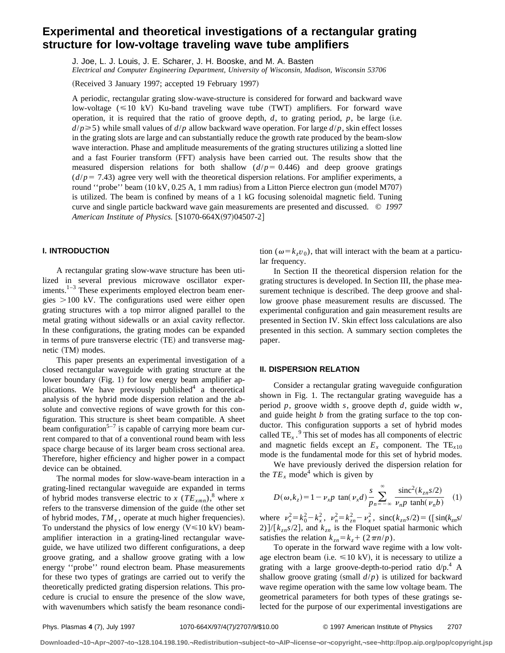# **Experimental and theoretical investigations of a rectangular grating structure for low-voltage traveling wave tube amplifiers**

J. Joe, L. J. Louis, J. E. Scharer, J. H. Booske, and M. A. Basten

*Electrical and Computer Engineering Department, University of Wisconsin, Madison, Wisconsin 53706*

(Received 3 January 1997; accepted 19 February 1997)

A periodic, rectangular grating slow-wave-structure is considered for forward and backward wave low-voltage  $(\leq 10 \text{ kV})$  Ku-band traveling wave tube (TWT) amplifiers. For forward wave operation, it is required that the ratio of groove depth,  $d$ , to grating period,  $p$ , be large (i.e.  $d/p \ge 5$ ) while small values of  $d/p$  allow backward wave operation. For large  $d/p$ , skin effect losses in the grating slots are large and can substantially reduce the growth rate produced by the beam-slow wave interaction. Phase and amplitude measurements of the grating structures utilizing a slotted line and a fast Fourier transform (FFT) analysis have been carried out. The results show that the measured dispersion relations for both shallow  $(d/p = 0.446)$  and deep groove gratings  $(d/p = 7.43)$  agree very well with the theoretical dispersion relations. For amplifier experiments, a round "probe" beam  $(10 \text{ kV}, 0.25 \text{ A}, 1 \text{ mm} \text{ radius})$  from a Litton Pierce electron gun (model M707) is utilized. The beam is confined by means of a 1 kG focusing solenoidal magnetic field. Tuning curve and single particle backward wave gain measurements are presented and discussed. © *1997 American Institute of Physics.* [S1070-664X(97)04507-2]

## **I. INTRODUCTION**

A rectangular grating slow-wave structure has been utilized in several previous microwave oscillator experiments. $1-3$  These experiments employed electron beam energies  $>100$  kV. The configurations used were either open grating structures with a top mirror aligned parallel to the metal grating without sidewalls or an axial cavity reflector. In these configurations, the grating modes can be expanded in terms of pure transverse electric (TE) and transverse magnetic (TM) modes.

This paper presents an experimental investigation of a closed rectangular waveguide with grating structure at the lower boundary (Fig. 1) for low energy beam amplifier applications. We have previously published<sup>4</sup> a theoretical analysis of the hybrid mode dispersion relation and the absolute and convective regions of wave growth for this configuration. This structure is sheet beam compatible. A sheet beam configuration<sup>5-7</sup> is capable of carrying more beam current compared to that of a conventional round beam with less space charge because of its larger beam cross sectional area. Therefore, higher efficiency and higher power in a compact device can be obtained.

The normal modes for slow-wave-beam interaction in a grating-lined rectangular waveguide are expanded in terms of hybrid modes transverse electric to *x* ( $TE_{xmn}$ ),<sup>8</sup> where *x* refers to the transverse dimension of the guide (the other set of hybrid modes,  $TM_x$ , operate at much higher frequencies). To understand the physics of low energy  $(V \le 10 \text{ kV})$  beamamplifier interaction in a grating-lined rectangular waveguide, we have utilized two different configurations, a deep groove grating, and a shallow groove grating with a low energy ''probe'' round electron beam. Phase measurements for these two types of gratings are carried out to verify the theoretically predicted grating dispersion relations. This procedure is crucial to ensure the presence of the slow wave, with wavenumbers which satisfy the beam resonance condition ( $\omega = k_z v_0$ ), that will interact with the beam at a particular frequency.

In Section II the theoretical dispersion relation for the grating structures is developed. In Section III, the phase measurement technique is described. The deep groove and shallow groove phase measurement results are discussed. The experimental configuration and gain measurement results are presented in Section IV. Skin effect loss calculations are also presented in this section. A summary section completes the paper.

## **II. DISPERSION RELATION**

Consider a rectangular grating waveguide configuration shown in Fig. 1. The rectangular grating waveguide has a period *p*, groove width *s*, groove depth *d*, guide width *w*, and guide height *b* from the grating surface to the top conductor. This configuration supports a set of hybrid modes called TE*<sup>x</sup>* . <sup>9</sup> This set of modes has all components of electric and magnetic fields except an  $E_x$  component. The TE<sub>x10</sub> mode is the fundamental mode for this set of hybrid modes.

We have previously derived the dispersion relation for the  $TE_x$  mode<sup>4</sup> which is given by

$$
D(\omega, k_z) = 1 - \nu_x p \tan(\nu_x d) \frac{s}{p_n} \sum_{n = -\infty}^{\infty} \frac{\text{sinc}^2(k_{zn}s/2)}{\nu_n p \tanh(\nu_n b)} \quad (1)
$$

where  $v_x^2 = k_0^2 - k_x^2$ ,  $v_n^2 = k_{zn}^2 - v_x^2$ , sinc( $k_{zn}s/2$ ) = ([sin( $k_{zn}s/2$ ) 2)  $]/[k_{zn}s/2]$ , and  $k_{zn}$  is the Floquet spatial harmonic which satisfies the relation  $k_{zn} = k_z + (2 \pi n/p)$ .

To operate in the forward wave regime with a low voltage electron beam (i.e.  $\leq 10$  kV), it is necessary to utilize a grating with a large groove-depth-to-period ratio  $d/p^4$ . shallow groove grating (small  $d/p$ ) is utilized for backward wave regime operation with the same low voltage beam. The geometrical parameters for both types of these gratings selected for the purpose of our experimental investigations are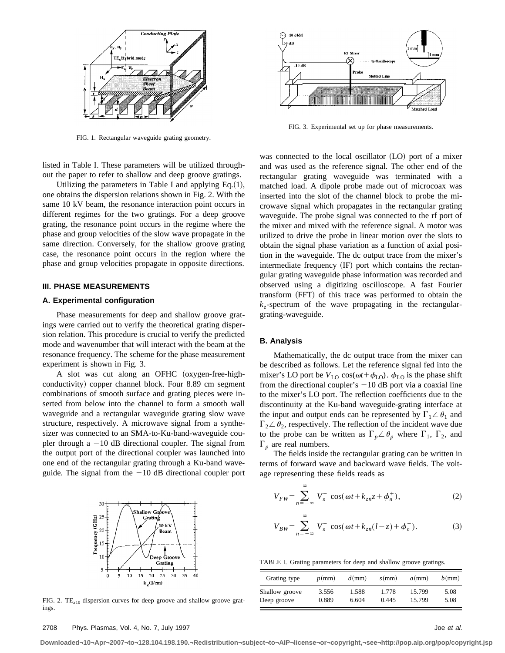

FIG. 1. Rectangular waveguide grating geometry.

listed in Table I. These parameters will be utilized throughout the paper to refer to shallow and deep groove gratings.

Utilizing the parameters in Table I and applying  $Eq.(1)$ , one obtains the dispersion relations shown in Fig. 2. With the same 10 kV beam, the resonance interaction point occurs in different regimes for the two gratings. For a deep groove grating, the resonance point occurs in the regime where the phase and group velocities of the slow wave propagate in the same direction. Conversely, for the shallow groove grating case, the resonance point occurs in the region where the phase and group velocities propagate in opposite directions.

## **III. PHASE MEASUREMENTS**

## **A. Experimental configuration**

Phase measurements for deep and shallow groove gratings were carried out to verify the theoretical grating dispersion relation. This procedure is crucial to verify the predicted mode and wavenumber that will interact with the beam at the resonance frequency. The scheme for the phase measurement experiment is shown in Fig. 3.

A slot was cut along an OFHC (oxygen-free-highconductivity) copper channel block. Four 8.89 cm segment combinations of smooth surface and grating pieces were inserted from below into the channel to form a smooth wall waveguide and a rectangular waveguide grating slow wave structure, respectively. A microwave signal from a synthesizer was connected to an SMA-to-Ku-band-waveguide coupler through a  $-10$  dB directional coupler. The signal from the output port of the directional coupler was launched into one end of the rectangular grating through a Ku-band waveguide. The signal from the  $-10$  dB directional coupler port



FIG. 2. TE*x*<sup>10</sup> dispersion curves for deep groove and shallow groove gratings.



FIG. 3. Experimental set up for phase measurements.

was connected to the local oscillator (LO) port of a mixer and was used as the reference signal. The other end of the rectangular grating waveguide was terminated with a matched load. A dipole probe made out of microcoax was inserted into the slot of the channel block to probe the microwave signal which propagates in the rectangular grating waveguide. The probe signal was connected to the rf port of the mixer and mixed with the reference signal. A motor was utilized to drive the probe in linear motion over the slots to obtain the signal phase variation as a function of axial position in the waveguide. The dc output trace from the mixer's intermediate frequency  $(\text{IF})$  port which contains the rectangular grating waveguide phase information was recorded and observed using a digitizing oscilloscope. A fast Fourier transform (FFT) of this trace was performed to obtain the  $k_z$ -spectrum of the wave propagating in the rectangulargrating-waveguide.

#### **B. Analysis**

Mathematically, the dc output trace from the mixer can be described as follows. Let the reference signal fed into the mixer's LO port be  $V_{\text{LO}} \cos(\omega t + \phi_{\text{LO}})$ .  $\phi_{\text{LO}}$  is the phase shift from the directional coupler's  $-10$  dB port via a coaxial line to the mixer's LO port. The reflection coefficients due to the discontinuity at the Ku-band waveguide-grating interface at the input and output ends can be represented by  $\Gamma_1 \angle \theta_1$  and  $\Gamma_2 \angle \theta_2$ , respectively. The reflection of the incident wave due to the probe can be written as  $\Gamma_p \angle \theta_p$  where  $\Gamma_1$ ,  $\Gamma_2$ , and  $\Gamma_p$  are real numbers.

The fields inside the rectangular grating can be written in terms of forward wave and backward wave fields. The voltage representing these fields reads as

$$
V_{FW} = \sum_{n=-\infty}^{\infty} V_n^+ \cos(\omega t + k_{zn} z + \phi_n^+),
$$
 (2)

$$
V_{BW} = \sum_{n=-\infty}^{\infty} V_n^- \cos(\omega t + k_{zn}(l-z) + \phi_n^-). \tag{3}
$$

TABLE I. Grating parameters for deep and shallow groove gratings.

| Grating type   | $p$ (mm) | $d$ (mm) | $s$ (mm) | $a$ (mm) | $b$ (mm) |
|----------------|----------|----------|----------|----------|----------|
| Shallow groove | 3.556    | 1.588    | 1.778    | 15.799   | 5.08     |
| Deep groove    | 0.889    | 6.604    | 0.445    | 15.799   | 5.08     |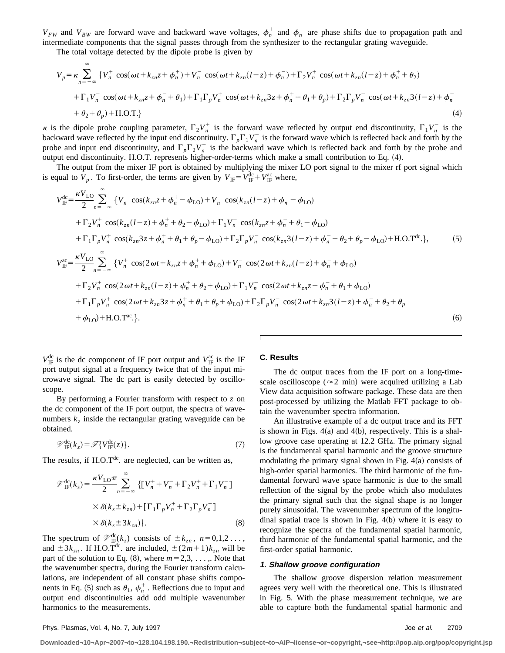$V_{FW}$  and  $V_{BW}$  are forward wave and backward wave voltages,  $\phi_n^+$  and  $\phi_n^-$  are phase shifts due to propagation path and intermediate components that the signal passes through from the synthesizer to the rectangular grating waveguide.

The total voltage detected by the dipole probe is given by

$$
V_{p} = \kappa \sum_{n=-\infty}^{\infty} \{ V_{n}^{+} \cos(\omega t + k_{zn} z + \phi_{n}^{+}) + V_{n}^{-} \cos(\omega t + k_{zn}(l-z) + \phi_{n}^{-}) + \Gamma_{2} V_{n}^{+} \cos(\omega t + k_{zn}(l-z) + \phi_{n}^{+} + \theta_{2})
$$
  
+  $\Gamma_{1} V_{n}^{-} \cos(\omega t + k_{zn} z + \phi_{n}^{-} + \theta_{1}) + \Gamma_{1} \Gamma_{p} V_{n}^{+} \cos(\omega t + k_{zn} 3 z + \phi_{n}^{+} + \theta_{1} + \theta_{p}) + \Gamma_{2} \Gamma_{p} V_{n}^{-} \cos(\omega t + k_{zn} 3 (l-z) + \phi_{n}^{-} + \theta_{2} + \theta_{p}) + \text{H.O.T.} \}$  (4)

 $\kappa$  is the dipole probe coupling parameter,  $\Gamma_2 V_n^+$  is the forward wave reflected by output end discontinuity,  $\Gamma_1 V_n^-$  is the backward wave reflected by the input end discontinuity.  $\Gamma_p\Gamma_1V_n^+$  is the forward wave which is reflected back and forth by the probe and input end discontinuity, and  $\Gamma_p \Gamma_2 V_n$  is the backward wave which is reflected back and forth by the probe and output end discontinuity. H.O.T. represents higher-order-terms which make a small contribution to Eq. (4).

The output from the mixer IF port is obtained by multiplying the mixer LO port signal to the mixer rf port signal which is equal to  $V_p$ . To first-order, the terms are given by  $V_{\text{IF}} = V_{\text{IF}}^{\text{dc}} + V_{\text{IF}}^{\text{ac}}$  where,

$$
V_{\text{IF}}^{\text{dc}} = \frac{\kappa V_{\text{LO}}}{2} \sum_{n=-\infty}^{\infty} \{V_{n}^{+} \cos(k_{zn}z + \phi_{n}^{+} - \phi_{\text{LO}}) + V_{n}^{-} \cos(k_{zn}(l-z) + \phi_{n}^{-} - \phi_{\text{LO}}) + \Gamma_{2}V_{n}^{+} \cos(k_{zn}(l-z) + \phi_{n}^{+} + \theta_{2} - \phi_{\text{LO}}) + \Gamma_{1}V_{n}^{-} \cos(k_{zn}z + \phi_{n}^{-} + \theta_{1} - \phi_{\text{LO}}) + \Gamma_{1} \Gamma_{p}V_{n}^{+} \cos(k_{zn}z + \phi_{n}^{+} + \theta_{1} + \theta_{p} - \phi_{\text{LO}}) + \Gamma_{2} \Gamma_{p}V_{n}^{-} \cos(k_{zn}3(l-z) + \phi_{n}^{-} + \theta_{2} + \theta_{p} - \phi_{\text{LO}}) + \text{H.O.T}^{\text{dc}}.\}, \qquad (5)
$$
  

$$
V_{\text{IF}}^{\text{ac}} = \frac{\kappa V_{\text{LO}}}{2} \sum_{n=-\infty}^{\infty} \{V_{n}^{+} \cos(2\omega t + k_{zn}z + \phi_{n}^{+} + \phi_{\text{LO}}) + V_{n}^{-} \cos(2\omega t + k_{zn}(l-z) + \phi_{n}^{-} + \phi_{\text{LO}}) + \Gamma_{2}V_{n}^{+} \cos(2\omega t + k_{zn}(l-z) + \phi_{n}^{+} + \theta_{2} + \phi_{\text{LO}}) + \Gamma_{1}V_{n}^{-} \cos(2\omega t + k_{zn}z + \phi_{n}^{-} + \theta_{1} + \phi_{\text{LO}}) + \Gamma_{1} \Gamma_{p}V_{n}^{+} \cos(2\omega t + k_{zn}3z + \phi_{n}^{+} + \theta_{1} + \theta_{p} + \phi_{\text{LO}}) + \Gamma_{2} \Gamma_{p}V_{n}^{-} \cos(2\omega t + k_{zn}3(l-z) + \phi_{n}^{-} + \theta_{2} + \theta_{p} + \phi_{\text{LO}}) + \text{H.O.T}^{\text{ac}}.\} (6)
$$

 $V_{\text{IF}}^{\text{dc}}$  is the dc component of IF port output and  $V_{\text{IF}}^{\text{ac}}$  is the IF port output signal at a frequency twice that of the input microwave signal. The dc part is easily detected by oscilloscope.

By performing a Fourier transform with respect to *z* on the dc component of the IF port output, the spectra of wavenumbers  $k_z$  inside the rectangular grating waveguide can be obtained.

$$
\mathscr{D}_{\text{IF}}^{\text{dc}}(k_z) = \mathscr{F}\{V_{\text{IF}}^{\text{dc}}(z)\}.
$$
\n(7)

The results, if  $H.O.T^{dc}$ . are neglected, can be written as,

$$
\mathcal{V}_{IF}^{dc}(k_z) = \frac{\kappa V_{LO} \pi}{2} \sum_{n=-\infty}^{\infty} \{ [V_n^+ + V_n^- + \Gamma_2 V_n^+ + \Gamma_1 V_n^- ]
$$
  
 
$$
\times \delta(k_z \pm k_{zn}) + [\Gamma_1 \Gamma_p V_n^+ + \Gamma_2 \Gamma_p V_n^- ]
$$
  
 
$$
\times \delta(k_z \pm 3k_{zn}) \}. \tag{8}
$$

The spectrum of  $\mathcal{V}_{\text{IF}}^{\text{dc}}(k_z)$  consists of  $\pm k_{zn}$ ,  $n=0,1,2...$ , and  $\pm 3k_{zn}$ . If H.O.T<sup>dc</sup>. are included,  $\pm (2m+1)k_{zn}$  will be part of the solution to Eq.  $(8)$ , where  $m=2,3, \ldots$ , Note that the wavenumber spectra, during the Fourier transform calculations, are independent of all constant phase shifts components in Eq. (5) such as  $\theta_1$ ,  $\phi_n^+$ . Reflections due to input and output end discontinuities add odd multiple wavenumber harmonics to the measurements.

## **C. Results**

The dc output traces from the IF port on a long-timescale oscilloscope ( $\approx$ 2 min) were acquired utilizing a Lab View data acquisition software package. These data are then post-processed by utilizing the Matlab FFT package to obtain the wavenumber spectra information.

An illustrative example of a dc output trace and its FFT is shown in Figs.  $4(a)$  and  $4(b)$ , respectively. This is a shallow groove case operating at 12.2 GHz. The primary signal is the fundamental spatial harmonic and the groove structure modulating the primary signal shown in Fig.  $4(a)$  consists of high-order spatial harmonics. The third harmonic of the fundamental forward wave space harmonic is due to the small reflection of the signal by the probe which also modulates the primary signal such that the signal shape is no longer purely sinusoidal. The wavenumber spectrum of the longitudinal spatial trace is shown in Fig.  $4(b)$  where it is easy to recognize the spectra of the fundamental spatial harmonic, third harmonic of the fundamental spatial harmonic, and the first-order spatial harmonic.

#### **1. Shallow groove configuration**

The shallow groove dispersion relation measurement agrees very well with the theoretical one. This is illustrated in Fig. 5. With the phase measurement technique, we are able to capture both the fundamental spatial harmonic and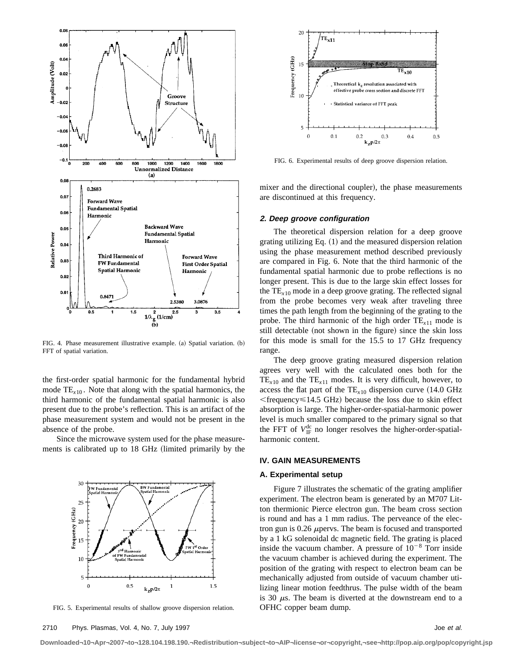

FIG. 4. Phase measurement illustrative example. (a) Spatial variation. (b) FFT of spatial variation.

the first-order spatial harmonic for the fundamental hybrid mode  $TE_{x10}$ . Note that along with the spatial harmonics, the third harmonic of the fundamental spatial harmonic is also present due to the probe's reflection. This is an artifact of the phase measurement system and would not be present in the absence of the probe.

Since the microwave system used for the phase measurements is calibrated up to 18 GHz (limited primarily by the



FIG. 5. Experimental results of shallow groove dispersion relation.



FIG. 6. Experimental results of deep groove dispersion relation.

mixer and the directional coupler), the phase measurements are discontinued at this frequency.

#### **2. Deep groove configuration**

The theoretical dispersion relation for a deep groove grating utilizing Eq.  $(1)$  and the measured dispersion relation using the phase measurement method described previously are compared in Fig. 6. Note that the third harmonic of the fundamental spatial harmonic due to probe reflections is no longer present. This is due to the large skin effect losses for the TE*x*<sup>10</sup> mode in a deep groove grating. The reflected signal from the probe becomes very weak after traveling three times the path length from the beginning of the grating to the probe. The third harmonic of the high order  $TE_{x11}$  mode is still detectable (not shown in the figure) since the skin loss for this mode is small for the 15.5 to 17 GHz frequency range.

The deep groove grating measured dispersion relation agrees very well with the calculated ones both for the  $TE_{x10}$  and the  $TE_{x11}$  modes. It is very difficult, however, to access the flat part of the  $TE_{x10}$  dispersion curve  $(14.0 \text{ GHz})$  $\epsilon$  frequency  $\leq$  14.5 GHz) because the loss due to skin effect absorption is large. The higher-order-spatial-harmonic power level is much smaller compared to the primary signal so that the FFT of  $V_{IF}^{dc}$  no longer resolves the higher-order-spatialharmonic content.

## **IV. GAIN MEASUREMENTS**

## **A. Experimental setup**

Figure 7 illustrates the schematic of the grating amplifier experiment. The electron beam is generated by an M707 Litton thermionic Pierce electron gun. The beam cross section is round and has a 1 mm radius. The perveance of the electron gun is  $0.26 \mu$  pervs. The beam is focused and transported by a 1 kG solenoidal dc magnetic field. The grating is placed inside the vacuum chamber. A pressure of  $10^{-8}$  Torr inside the vacuum chamber is achieved during the experiment. The position of the grating with respect to electron beam can be mechanically adjusted from outside of vacuum chamber utilizing linear motion feedthrus. The pulse width of the beam is 30  $\mu$ s. The beam is diverted at the downstream end to a OFHC copper beam dump.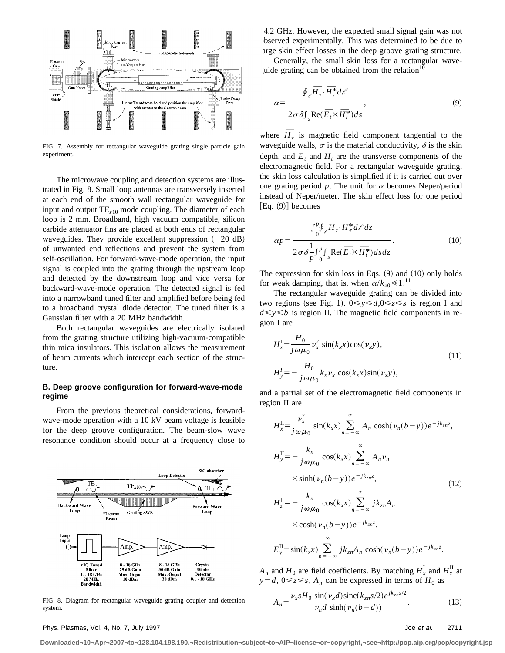

FIG. 7. Assembly for rectangular waveguide grating single particle gain experiment.

The microwave coupling and detection systems are illustrated in Fig. 8. Small loop antennas are transversely inserted at each end of the smooth wall rectangular waveguide for input and output TE*z*<sup>10</sup> mode coupling. The diameter of each loop is 2 mm. Broadband, high vacuum compatible, silicon carbide attenuator fins are placed at both ends of rectangular waveguides. They provide excellent suppression  $(-20 \text{ dB})$ of unwanted end reflections and prevent the system from self-oscillation. For forward-wave-mode operation, the input signal is coupled into the grating through the upstream loop and detected by the downstream loop and vice versa for backward-wave-mode operation. The detected signal is fed into a narrowband tuned filter and amplified before being fed to a broadband crystal diode detector. The tuned filter is a Gaussian filter with a 20 MHz bandwidth.

Both rectangular waveguides are electrically isolated from the grating structure utilizing high-vacuum-compatible thin mica insulators. This isolation allows the measurement of beam currents which intercept each section of the structure.

## **B. Deep groove configuration for forward-wave-mode regime**

From the previous theoretical considerations, forwardwave-mode operation with a 10 kV beam voltage is feasible for the deep groove configuration. The beam-slow wave resonance condition should occur at a frequency close to



FIG. 8. Diagram for rectangular waveguide grating coupler and detection system.

14.2 GHz. However, the expected small signal gain was not bserved experimentally. This was determined to be due to arge skin effect losses in the deep groove grating structure.

Generally, the small skin loss for a rectangular waveuide grating can be obtained from the relation $10$ 

$$
\alpha = \frac{\oint_{\ell} \overline{H}_{\tau} \cdot \overline{H}_{\tau}^{*} d\ell}{2\sigma \delta \int_{s} \text{Re}(\overline{E}_{i} \times \overline{H}_{i}^{*}) ds},
$$
\n(9)

where  $\overline{H}_{\tau}$  is magnetic field component tangential to the waveguide walls,  $\sigma$  is the material conductivity,  $\delta$  is the skin waveguide walls,  $\sigma$  is the material conductivity,  $\sigma$  is the skin depth, and  $\overline{E}_t$  and  $\overline{H}_t$  are the transverse components of the electromagnetic field. For a rectangular waveguide grating, the skin loss calculation is simplified if it is carried out over one grating period  $p$ . The unit for  $\alpha$  becomes Neper/period instead of Neper/meter. The skin effect loss for one period  $[Eq. (9)]$  becomes

$$
\alpha p = \frac{\int_0^p \oint_C \overline{H}_\tau \cdot \overline{H}_\tau^* d\ell dz}{2 \sigma \delta \frac{1}{p} \int_0^p \int_s \text{Re}(\overline{E}_t \times \overline{H}_t^*) ds dz}.
$$
 (10)

The expression for skin loss in Eqs.  $(9)$  and  $(10)$  only holds for weak damping, that is, when  $\alpha/k_{z0} \ll 1$ .<sup>11</sup>

The rectangular waveguide grating can be divided into two regions (see Fig. 1).  $0 \le y \le d$ ,  $0 \le z \le s$  is region I and  $d \le y \le b$  is region II. The magnetic field components in region I are

$$
H_x^I = \frac{H_0}{j\omega\mu_0} v_x^2 \sin(k_x x) \cos(\nu_x y),
$$
  
\n
$$
H_y^I = -\frac{H_0}{j\omega\mu_0} k_x \nu_x \cos(k_x x) \sin(\nu_x y),
$$
\n(11)

and a partial set of the electromagnetic field components in region II are

$$
H_x^{\text{II}} = \frac{\nu_x^2}{j\omega\mu_0} \sin(k_x x) \sum_{n=-\infty}^{\infty} A_n \cosh(\nu_n (b-y)) e^{-jk_{zn}z},
$$
  
\n
$$
H_y^{\text{II}} = -\frac{k_x}{j\omega\mu_0} \cos(k_x x) \sum_{n=-\infty}^{\infty} A_n \nu_n
$$
  
\n
$$
\times \sinh(\nu_n (b-y)) e^{-jk_{zn}z},
$$
  
\n
$$
H_z^{\text{II}} = -\frac{k_x}{j\omega\mu_0} \cos(k_x x) \sum_{n=-\infty}^{\infty} j k_{zn} A_n
$$
  
\n
$$
\times \cosh(\nu_n (b-y)) e^{-jk_{zn}z},
$$
  
\n
$$
E_y^{\text{II}} = \sin(k_x x) \sum_{n=-\infty}^{\infty} j k_{zn} A_n \cosh(\nu_n (b-y)) e^{-jk_{zn}z}.
$$

 $A_n$  and  $H_0$  are field coefficients. By matching  $H_x^{\text{I}}$  and  $H_x^{\text{II}}$  at  $y = d$ ,  $0 \le z \le s$ ,  $A_n$  can be expressed in terms of  $H_0$  as

$$
A_n = \frac{\nu_x s H_0 \sin(\nu_x d) \text{sinc}(k_{zn} s/2) e^{jk_{zn} s/2}}{\nu_n d \sinh(\nu_n (b-d))}.
$$
 (13)

Phys. Plasmas, Vol. 4, No. 7, July 1997 **Joe et al.** 2711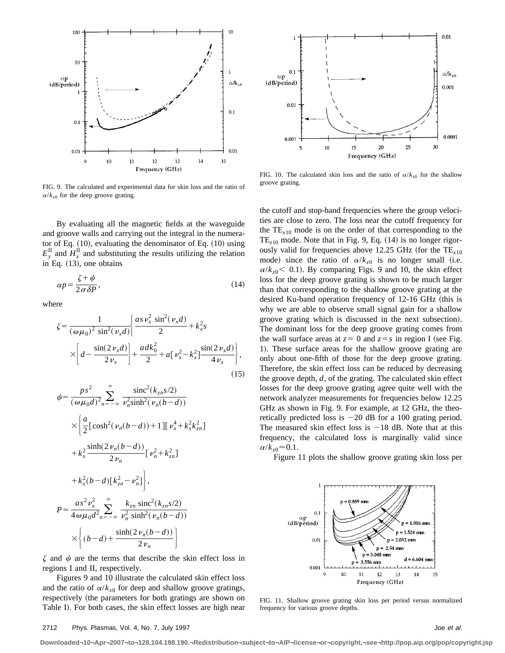

FIG. 9. The calculated and experimental data for skin loss and the ratio of  $\alpha/k_{z0}$  for the deep groove grating.

By evaluating all the magnetic fields at the waveguide and groove walls and carrying out the integral in the numerator of Eq.  $(10)$ , evaluating the denominator of Eq.  $(10)$  using  $E_y^{\text{II}}$  and  $H_x^{\text{II}}$  and substituting the results utilizing the relation in Eq.  $(13)$ , one obtains

$$
\alpha p = \frac{\zeta + \psi}{2\sigma \delta P},\tag{14}
$$

where

$$
\zeta = \frac{1}{(\omega \mu_0)^2 \sin^2(\nu_x d)} \left\{ \frac{as \nu_x^2 \sin^2(\nu_x d)}{2} + k_x^2 s \right\}
$$

$$
\times \left[ d - \frac{\sin(2 \nu_x d)}{2 \nu_x} \right] + \frac{ad k_0^2}{2} + a \left[ \nu_x^2 - k_x^2 \right] \frac{\sin(2 \nu_x d)}{4 \nu_x}, \tag{15}
$$

$$
\psi = \frac{ps^2}{(\omega \mu_0 d)^2} \sum_{n=-\infty}^{\infty} \frac{\text{sinc}^2(k_{zn}s/2)}{\nu_n^2 \text{sinh}^2(\nu_n(b-d))}
$$
  

$$
\times \left\{ \frac{a}{2} [\cosh^2(\nu_n(b-d)) + 1] [\nu_x^4 + k_x^2 k_{zn}^2] + k_x^2 \frac{\text{sinh}(2\nu_n(b-d))}{2\nu_n} [\nu_n^2 + k_{zn}^2] + k_x^2 (b-d) [\kappa_{zn}^2 - \nu_n^2] \right\},\
$$
  

$$
P = \frac{as^2 \nu_x^2}{4\omega \mu_0 d^2 \nu_n} \sum_{n=-\infty}^{\infty} \frac{k_{zn} \text{sinc}^2(k_{zn}s/2)}{\nu_n^2 \text{sinh}^2(\nu_n(b-d))} \times \left\{ (b-d) + \frac{\text{sinh}(2\nu_n(b-d))}{2\nu_n} \right\}
$$

 $\zeta$  and  $\psi$  are the terms that describe the skin effect loss in regions I and II, respectively.

Figures 9 and 10 illustrate the calculated skin effect loss and the ratio of  $\alpha/k_{z0}$  for deep and shallow groove gratings, respectively (the parameters for both gratings are shown on Table I). For both cases, the skin effect losses are high near



FIG. 10. The calculated skin loss and the ratio of  $\alpha/k_{z0}$  for the shallow groove grating.

the cutoff and stop-band frequencies where the group velocities are close to zero. The loss near the cutoff frequency for the  $TE_{x10}$  mode is on the order of that corresponding to the  $TE<sub>z10</sub>$  mode. Note that in Fig. 9, Eq.  $(14)$  is no longer rigorously valid for frequencies above 12.25 GHz (for the  $TE<sub>x10</sub>$ ) mode) since the ratio of  $\alpha/k_{z0}$  is no longer small (i.e.  $\alpha/k_{z0}$  (0.1). By comparing Figs. 9 and 10, the skin effect loss for the deep groove grating is shown to be much larger than that corresponding to the shallow groove grating at the desired Ku-band operation frequency of 12-16 GHz (this is why we are able to observe small signal gain for a shallow groove grating which is discussed in the next subsection). The dominant loss for the deep groove grating comes from the wall surface areas at  $z = 0$  and  $z = s$  in region I (see Fig. 1). These surface areas for the shallow groove grating are only about one-fifth of those for the deep groove grating. Therefore, the skin effect loss can be reduced by decreasing the groove depth, *d*, of the grating. The calculated skin effect losses for the deep groove grating agree quite well with the network analyzer measurements for frequencies below 12.25 GHz as shown in Fig. 9. For example, at 12 GHz, the theoretically predicted loss is  $-20$  dB for a 100 grating period. The measured skin effect loss is  $-18$  dB. Note that at this frequency, the calculated loss is marginally valid since  $\alpha/k_{z0} \approx 0.1$ .

Figure 11 plots the shallow groove grating skin loss per



FIG. 11. Shallow groove grating skin loss per period versus normalized frequency for various groove depths.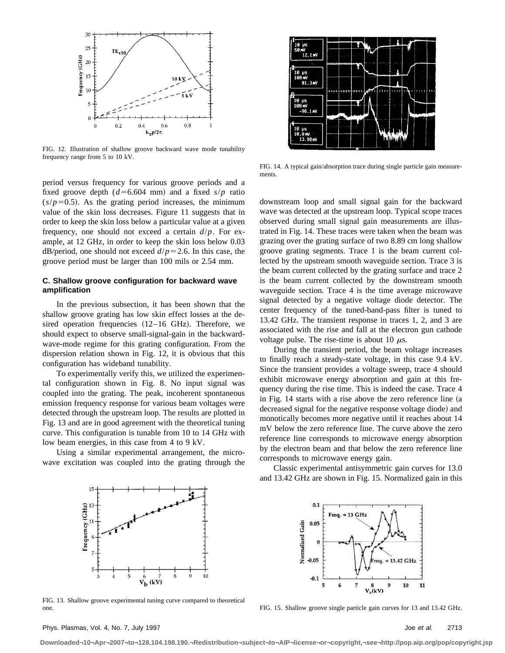

FIG. 12. Illustration of shallow groove backward wave mode tunability frequency range from 5 to 10 kV.

period versus frequency for various groove periods and a fixed groove depth  $(d=6.604$  mm) and a fixed  $s/p$  ratio  $(s/p=0.5)$ . As the grating period increases, the minimum value of the skin loss decreases. Figure 11 suggests that in order to keep the skin loss below a particular value at a given frequency, one should not exceed a certain *d*/*p*. For example, at 12 GHz, in order to keep the skin loss below 0.03 dB/period, one should not exceed  $d/p=2.6$ . In this case, the groove period must be larger than 100 mils or 2.54 mm.

## **C. Shallow groove configuration for backward wave amplification**

In the previous subsection, it has been shown that the shallow groove grating has low skin effect losses at the desired operation frequencies  $(12-16 \text{ GHz})$ . Therefore, we should expect to observe small-signal-gain in the backwardwave-mode regime for this grating configuration. From the dispersion relation shown in Fig. 12, it is obvious that this configuration has wideband tunability.

To experimentally verify this, we utilized the experimental configuration shown in Fig. 8. No input signal was coupled into the grating. The peak, incoherent spontaneous emission frequency response for various beam voltages were detected through the upstream loop. The results are plotted in Fig. 13 and are in good agreement with the theoretical tuning curve. This configuration is tunable from 10 to 14 GHz with low beam energies, in this case from 4 to 9 kV.

Using a similar experimental arrangement, the microwave excitation was coupled into the grating through the



FIG. 14. A typical gain/absorption trace during single particle gain measurements.

downstream loop and small signal gain for the backward wave was detected at the upstream loop. Typical scope traces observed during small signal gain measurements are illustrated in Fig. 14. These traces were taken when the beam was grazing over the grating surface of two 8.89 cm long shallow groove grating segments. Trace 1 is the beam current collected by the upstream smooth waveguide section. Trace 3 is the beam current collected by the grating surface and trace 2 is the beam current collected by the downstream smooth waveguide section. Trace 4 is the time average microwave signal detected by a negative voltage diode detector. The center frequency of the tuned-band-pass filter is tuned to 13.42 GHz. The transient response in traces 1, 2, and 3 are associated with the rise and fall at the electron gun cathode voltage pulse. The rise-time is about 10  $\mu$ s.

During the transient period, the beam voltage increases to finally reach a steady-state voltage, in this case 9.4 kV. Since the transient provides a voltage sweep, trace 4 should exhibit microwave energy absorption and gain at this frequency during the rise time. This is indeed the case. Trace 4 in Fig.  $14$  starts with a rise above the zero reference line (a decreased signal for the negative response voltage diode) and monotically becomes more negative until it reaches about 14 mV below the zero reference line. The curve above the zero reference line corresponds to microwave energy absorption by the electron beam and that below the zero reference line corresponds to microwave energy gain.

Classic experimental antisymmetric gain curves for 13.0 and 13.42 GHz are shown in Fig. 15. Normalized gain in this



FIG. 13. Shallow groove experimental tuning curve compared to theoretical one.



FIG. 15. Shallow groove single particle gain curves for 13 and 13.42 GHz.

Phys. Plasmas, Vol. 4, No. 7, July 1997 **Joe et al.** 2713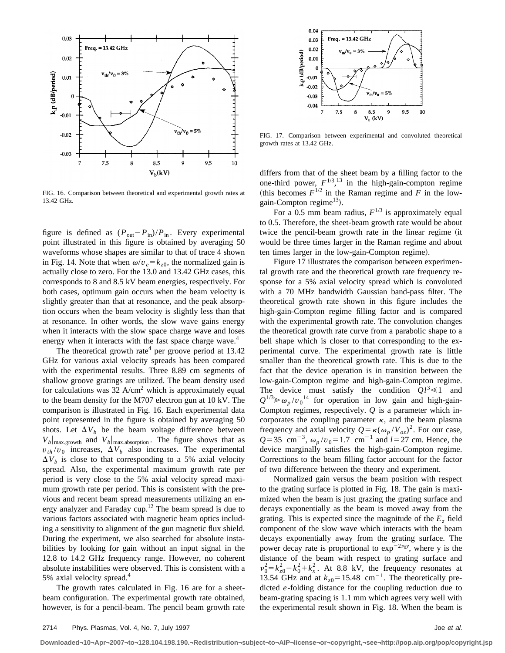

FIG. 16. Comparison between theoretical and experimental growth rates at 13.42 GHz.

figure is defined as  $(P_{out} - P_{in})/P_{in}$ . Every experimental point illustrated in this figure is obtained by averaging 50 waveforms whose shapes are similar to that of trace 4 shown in Fig. 14. Note that when  $\omega/v_e = k_{z0}$ , the normalized gain is actually close to zero. For the 13.0 and 13.42 GHz cases, this corresponds to 8 and 8.5 kV beam energies, respectively. For both cases, optimum gain occurs when the beam velocity is slightly greater than that at resonance, and the peak absorption occurs when the beam velocity is slightly less than that at resonance. In other words, the slow wave gains energy when it interacts with the slow space charge wave and loses energy when it interacts with the fast space charge wave.<sup>4</sup>

The theoretical growth rate<sup>4</sup> per groove period at  $13.42$ GHz for various axial velocity spreads has been compared with the experimental results. Three 8.89 cm segments of shallow groove gratings are utilized. The beam density used for calculations was  $32 \text{ A/cm}^2$  which is approximately equal to the beam density for the M707 electron gun at 10 kV. The comparison is illustrated in Fig. 16. Each experimental data point represented in the figure is obtained by averaging 50 shots. Let  $\Delta V_b$  be the beam voltage difference between  $V_b|_{\text{max.growth}}$  and  $V_b|_{\text{max.absorption}}$ . The figure shows that as  $v_{th}/v_0$  increases,  $\Delta V_b$  also increases. The experimental  $\Delta V_b$  is close to that corresponding to a 5% axial velocity spread. Also, the experimental maximum growth rate per period is very close to the 5% axial velocity spread maximum growth rate per period. This is consistent with the previous and recent beam spread measurements utilizing an energy analyzer and Faraday cup.12 The beam spread is due to various factors associated with magnetic beam optics including a sensitivity to alignment of the gun magnetic flux shield. During the experiment, we also searched for absolute instabilities by looking for gain without an input signal in the 12.8 to 14.2 GHz frequency range. However, no coherent absolute instabilities were observed. This is consistent with a 5% axial velocity spread.4

The growth rates calculated in Fig. 16 are for a sheetbeam configuration. The experimental growth rate obtained, however, is for a pencil-beam. The pencil beam growth rate



FIG. 17. Comparison between experimental and convoluted theoretical growth rates at 13.42 GHz.

differs from that of the sheet beam by a filling factor to the one-third power,  $F^{1/3}$ ,<sup>13</sup> in the high-gain-compton regime (this becomes  $F^{1/2}$  in the Raman regime and  $\overline{F}$  in the lowgain-Compton regime<sup>13</sup>).

For a 0.5 mm beam radius,  $F^{1/3}$  is approximately equal to 0.5. Therefore, the sheet-beam growth rate would be about twice the pencil-beam growth rate in the linear regime (it would be three times larger in the Raman regime and about ten times larger in the low-gain-Compton regime).

Figure 17 illustrates the comparison between experimental growth rate and the theoretical growth rate frequency response for a 5% axial velocity spread which is convoluted with a 70 MHz bandwidth Gaussian band-pass filter. The theoretical growth rate shown in this figure includes the high-gain-Compton regime filling factor and is compared with the experimental growth rate. The convolution changes the theoretical growth rate curve from a parabolic shape to a bell shape which is closer to that corresponding to the experimental curve. The experimental growth rate is little smaller than the theoretical growth rate. This is due to the fact that the device operation is in transition between the low-gain-Compton regime and high-gain-Compton regime. The device must satisfy the condition  $Ql^3 \ll 1$  and  $Q^{1/3} \gg \omega_p / v_0^{14}$  for operation in low gain and high-gain-Compton regimes, respectively. *Q* is a parameter which incorporates the coupling parameter  $\kappa$ , and the beam plasma frequency and axial velocity  $Q = \kappa(\omega_p / V_{oz})^2$ . For our case,  $Q=35$  cm<sup>-3</sup>,  $\omega_p/v_0=1.7$  cm<sup>-1</sup> and *l*=27 cm. Hence, the device marginally satisfies the high-gain-Compton regime. Corrections to the beam filling factor account for the factor of two difference between the theory and experiment.

Normalized gain versus the beam position with respect to the grating surface is plotted in Fig. 18. The gain is maximized when the beam is just grazing the grating surface and decays exponentially as the beam is moved away from the grating. This is expected since the magnitude of the  $E<sub>z</sub>$  field component of the slow wave which interacts with the beam decays exponentially away from the grating surface. The power decay rate is proportional to  $\exp^{-2\nu_0 y}$ , where y is the distance of the beam with respect to grating surface and  $v_0^2 = k_{z0}^2 - k_0^2 + k_x^2$ . At 8.8 kV, the frequency resonates at 13.54 GHz and at  $k_{z0}$  = 15.48 cm<sup>-1</sup>. The theoretically predicted *e*-folding distance for the coupling reduction due to beam-grating spacing is 1.1 mm which agrees very well with the experimental result shown in Fig. 18. When the beam is